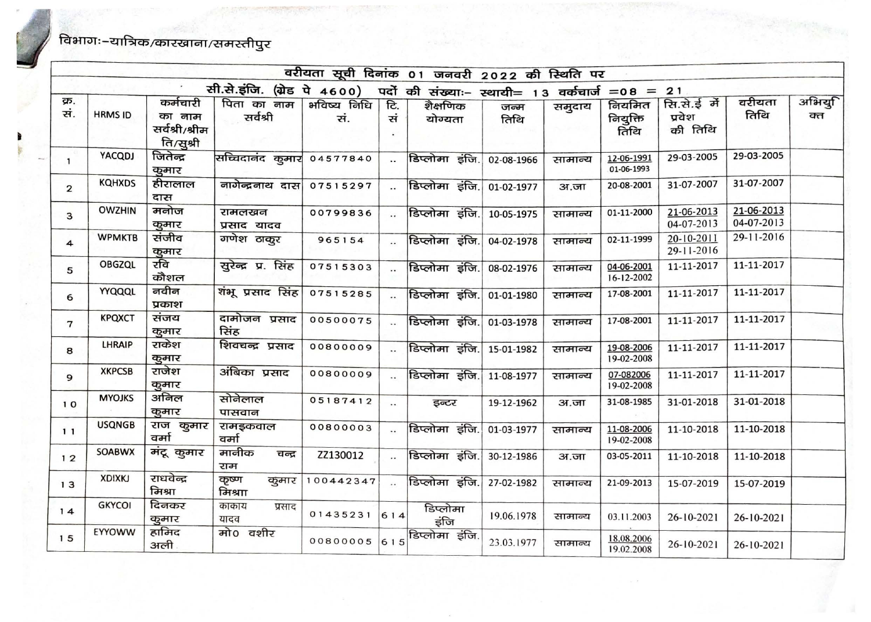## .<br>विभागः–यात्रिक/कारखाना/समस्तीपुर

|                |                |                                                   |                             |                    |                       | वरीयता सूची दिनांक 01 जनवरी 2022 की स्थिति पर   |              |         |                            |                                  |                          |              |
|----------------|----------------|---------------------------------------------------|-----------------------------|--------------------|-----------------------|-------------------------------------------------|--------------|---------|----------------------------|----------------------------------|--------------------------|--------------|
|                |                |                                                   | सी.से.इंजि. (ग्रेड पे 4600) |                    |                       | पदों की संख्याः- स्थायी= 13 वर्कचार्ज = 08 = 21 |              |         |                            |                                  |                          |              |
| क्र.<br>सं.    | <b>HRMS ID</b> | कर्मचारी<br>का नाम<br>सर्वश्री/श्रीम<br>ति/सुश्री | पिता का नाम<br>सर्वश्री     | भविष्य निधि<br>सं. | टि.<br>सं             | शैक्षणिक<br>योग्यता                             | जन्म<br>तिथि | समुदाय  | नियमित<br>नियुक्ति<br>तिथि | सि.से.ई में<br>प्रवेश<br>की तिथि | वरीयता<br>तिथि           | अभियु<br>क्त |
| $\mathbf{1}$   | YACQDJ         | जितेन्द्र<br>कुमार                                | सच्चिदानंद कुमार            | 04577840           | $\ddot{\phantom{a}}$  | डिप्लोमा इंजि.                                  | 02-08-1966   | सामान्य | 12-06-1991<br>01-06-1993   | 29-03-2005                       | 29-03-2005               |              |
| $\mathbf{2}$   | <b>KQHXDS</b>  | हीरालाल<br>दास                                    | नागेन्द्रनाथ दास            | 07515297           | $\sim$                | डिप्लोमा इंजि.                                  | 01-02-1977   | 3ा.जा   | 20-08-2001                 | 31-07-2007                       | 31-07-2007               |              |
| з              | <b>OWZHIN</b>  | मनोज<br>कुमार                                     | रामलखन<br>प्रसाद यादव       | 00799836           | $\dddot{\phantom{0}}$ | डिप्लोमा इंजि.                                  | 10-05-1975   | सामान्य | 01-11-2000                 | 21-06-2013<br>04-07-2013         | 21-06-2013<br>04-07-2013 |              |
| 4              | <b>WPMKTB</b>  | संजीव<br>कुमार                                    | गणेश ठाकुर                  | 965154             | $\ddot{\phantom{a}}$  | डिप्लोमा इंजि.                                  | 04-02-1978   | सामान्य | 02-11-1999                 | 20-10-2011<br>29-11-2016         | 29-11-2016               |              |
| 5              | <b>OBGZQL</b>  | रवि<br>कौशल                                       | सुरेन्द्र प्र. सिंह         | 07515303           | $\ddotsc$             | डिप्लोमा इंजि.                                  | 08-02-1976   | सामान्य | 04-06-2001<br>16-12-2002   | 11-11-2017                       | 11-11-2017               |              |
| 6              | YYQQQL         | नवीन<br>प्रकाश                                    | शंभू प्रसाद सिंह            | 07515285           |                       | डिप्लोमा इंजि.                                  | 01-01-1980   | रगमान्य | 17-08-2001                 | 11-11-2017                       | 11-11-2017               |              |
| $\overline{7}$ | <b>KPQXCT</b>  | संजय<br>कुमार                                     | दामोजन प्रसाद<br>सिंह       | 00500075           |                       | डिप्लोमा इंजि.                                  | 01-03-1978   | सामान्य | 17-08-2001                 | 11-11-2017                       | 11-11-2017               |              |
| 8              | LHRAIP         | राकेश<br>कुमार                                    | शिवचन्द्र प्रसाद            | 00800009           |                       | डिप्लोमा इंजि.                                  | 15-01-1982   | सामान्य | 19-08-2006<br>19-02-2008   | 11-11-2017                       | 11-11-2017               |              |
| 9              | <b>XKPCSB</b>  | राजेश<br>कुमार                                    | अंबिका प्रसाद               | 00800009           |                       | डिप्लोमा इंजि.                                  | 11-08-1977   | सामान्य | 07-082006<br>19-02-2008    | 11-11-2017                       | 11-11-2017               |              |
| 10             | <b>MYOJKS</b>  | अनिल<br>कुमार                                     | सोनेलाल<br>पासवान           | 05187412           | $\ddotsc$             | इन्टर                                           | 19-12-1962   | अ.जा    | 31-08-1985                 | 31-01-2018                       | 31-01-2018               |              |
| 11             | <b>USQNGB</b>  | राज कुमार<br>वर्मा                                | रामइकवाल<br>वर्मा           | 00800003           |                       | डिप्लोमा इंजि.                                  | 01-03-1977   | सामान्य | 11-08-2006<br>19-02-2008   | 11-10-2018                       | 11-10-2018               |              |
| 12             | <b>SOABWX</b>  | मंदू कुमार                                        | मानीक<br>चन्द्र<br>राम      | ZZ130012           | $\ddot{\phantom{a}}$  | डिप्लोमा इंजि.                                  | 30-12-1986   | अ.जा    | 03-05-2011                 | 11-10-2018                       | 11-10-2018               |              |
| 13             | <b>XDIXKJ</b>  | राधवेन्द्र<br>मिश्रा                              | कृष्ण<br>कुमार<br>मिश्राा   | 100442347          | $\dddot{\phantom{0}}$ | डिप्लोमा इंजि.                                  | 27-02-1982   | सामान्य | 21-09-2013                 | 15-07-2019                       | 15-07-2019               |              |
| 14             | <b>GKYCOI</b>  | दिनकर<br>कुमार                                    | काकाय<br>प्रसाद<br>यादव     | 01435231           | 614                   | डिप्लोमा<br>इंजि                                | 19.06.1978   | सामान्य | 03.11.2003                 | 26-10-2021                       | 26-10-2021               |              |
| 15             | EYYOWW         | हामिद<br>अली                                      | मो0 वशीर                    |                    |                       | ००८०००००५ $ 615 $ डिप्लोमा इंजि.                | 23.03.1977   | सामान्य | 18.08.2006<br>19.02.2008   | 26-10-2021                       | 26-10-2021               |              |